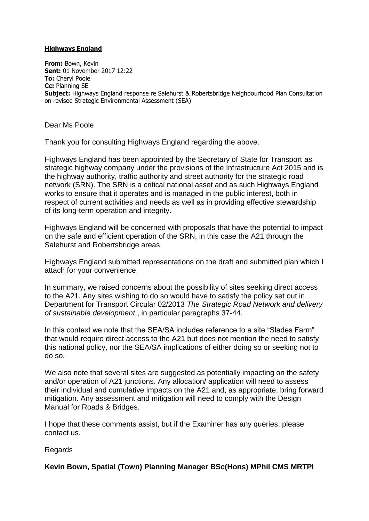### **Highways England**

**From:** Bown, Kevin **Sent:** 01 November 2017 12:22 **To:** Cheryl Poole **Cc:** Planning SE **Subject:** Highways England response re Salehurst & Robertsbridge Neighbourhood Plan Consultation on revised Strategic Environmental Assessment (SEA)

Dear Ms Poole

Thank you for consulting Highways England regarding the above.

Highways England has been appointed by the Secretary of State for Transport as strategic highway company under the provisions of the Infrastructure Act 2015 and is the highway authority, traffic authority and street authority for the strategic road network (SRN). The SRN is a critical national asset and as such Highways England works to ensure that it operates and is managed in the public interest, both in respect of current activities and needs as well as in providing effective stewardship of its long-term operation and integrity.

Highways England will be concerned with proposals that have the potential to impact on the safe and efficient operation of the SRN, in this case the A21 through the Salehurst and Robertsbridge areas.

Highways England submitted representations on the draft and submitted plan which I attach for your convenience.

In summary, we raised concerns about the possibility of sites seeking direct access to the A21. Any sites wishing to do so would have to satisfy the policy set out in Department for Transport Circular 02/2013 *The Strategic Road Network and delivery of sustainable development* , in particular paragraphs 37-44.

In this context we note that the SEA/SA includes reference to a site "Slades Farm" that would require direct access to the A21 but does not mention the need to satisfy this national policy, nor the SEA/SA implications of either doing so or seeking not to do so.

We also note that several sites are suggested as potentially impacting on the safety and/or operation of A21 junctions. Any allocation/ application will need to assess their individual and cumulative impacts on the A21 and, as appropriate, bring forward mitigation. Any assessment and mitigation will need to comply with the Design Manual for Roads & Bridges.

I hope that these comments assist, but if the Examiner has any queries, please contact us.

Regards

**Kevin Bown, Spatial (Town) Planning Manager BSc(Hons) MPhil CMS MRTPI**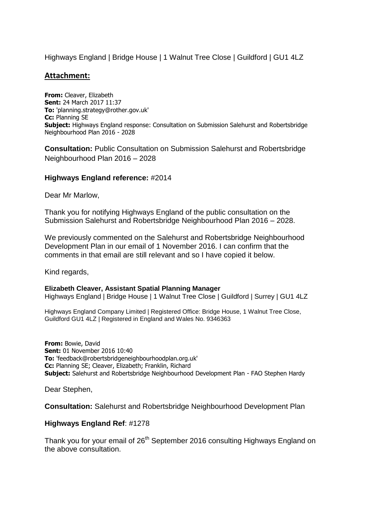Highways England | Bridge House | 1 Walnut Tree Close | Guildford | GU1 4LZ

# **Attachment:**

**From:** Cleaver, Elizabeth **Sent:** 24 March 2017 11:37 **To:** 'planning.strategy@rother.gov.uk' **Cc:** Planning SE **Subject:** Highways England response: Consultation on Submission Salehurst and Robertsbridge Neighbourhood Plan 2016 - 2028

**Consultation:** Public Consultation on Submission Salehurst and Robertsbridge Neighbourhood Plan 2016 – 2028

# **Highways England reference:** #2014

Dear Mr Marlow,

Thank you for notifying Highways England of the public consultation on the Submission Salehurst and Robertsbridge Neighbourhood Plan 2016 – 2028.

We previously commented on the Salehurst and Robertsbridge Neighbourhood Development Plan in our email of 1 November 2016. I can confirm that the comments in that email are still relevant and so I have copied it below.

Kind regards,

#### **Elizabeth Cleaver, Assistant Spatial Planning Manager**

Highways England | Bridge House | 1 Walnut Tree Close | Guildford | Surrey | GU1 4LZ

Highways England Company Limited | Registered Office: Bridge House, 1 Walnut Tree Close, Guildford GU1 4LZ | Registered in England and Wales No. 9346363

**From:** Bowie, David **Sent:** 01 November 2016 10:40 **To:** 'feedback@robertsbridgeneighbourhoodplan.org.uk' **Cc:** Planning SE; Cleaver, Elizabeth; Franklin, Richard **Subject:** Salehurst and Robertsbridge Neighbourhood Development Plan - FAO Stephen Hardy

Dear Stephen,

**Consultation:** Salehurst and Robertsbridge Neighbourhood Development Plan

### **Highways England Ref**: #1278

Thank you for your email of 26<sup>th</sup> September 2016 consulting Highways England on the above consultation.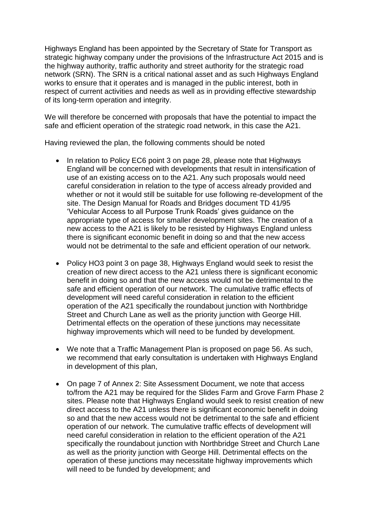Highways England has been appointed by the Secretary of State for Transport as strategic highway company under the provisions of the Infrastructure Act 2015 and is the highway authority, traffic authority and street authority for the strategic road network (SRN). The SRN is a critical national asset and as such Highways England works to ensure that it operates and is managed in the public interest, both in respect of current activities and needs as well as in providing effective stewardship of its long-term operation and integrity.

We will therefore be concerned with proposals that have the potential to impact the safe and efficient operation of the strategic road network, in this case the A21.

Having reviewed the plan, the following comments should be noted

- In relation to Policy EC6 point 3 on page 28, please note that Highways England will be concerned with developments that result in intensification of use of an existing access on to the A21. Any such proposals would need careful consideration in relation to the type of access already provided and whether or not it would still be suitable for use following re-development of the site. The Design Manual for Roads and Bridges document TD 41/95 "Vehicular Access to all Purpose Trunk Roads" gives guidance on the appropriate type of access for smaller development sites. The creation of a new access to the A21 is likely to be resisted by Highways England unless there is significant economic benefit in doing so and that the new access would not be detrimental to the safe and efficient operation of our network.
- Policy HO3 point 3 on page 38, Highways England would seek to resist the creation of new direct access to the A21 unless there is significant economic benefit in doing so and that the new access would not be detrimental to the safe and efficient operation of our network. The cumulative traffic effects of development will need careful consideration in relation to the efficient operation of the A21 specifically the roundabout junction with Northbridge Street and Church Lane as well as the priority junction with George Hill. Detrimental effects on the operation of these junctions may necessitate highway improvements which will need to be funded by development.
- We note that a Traffic Management Plan is proposed on page 56. As such, we recommend that early consultation is undertaken with Highways England in development of this plan,
- On page 7 of Annex 2: Site Assessment Document, we note that access to/from the A21 may be required for the Slides Farm and Grove Farm Phase 2 sites. Please note that Highways England would seek to resist creation of new direct access to the A21 unless there is significant economic benefit in doing so and that the new access would not be detrimental to the safe and efficient operation of our network. The cumulative traffic effects of development will need careful consideration in relation to the efficient operation of the A21 specifically the roundabout junction with Northbridge Street and Church Lane as well as the priority junction with George Hill. Detrimental effects on the operation of these junctions may necessitate highway improvements which will need to be funded by development; and